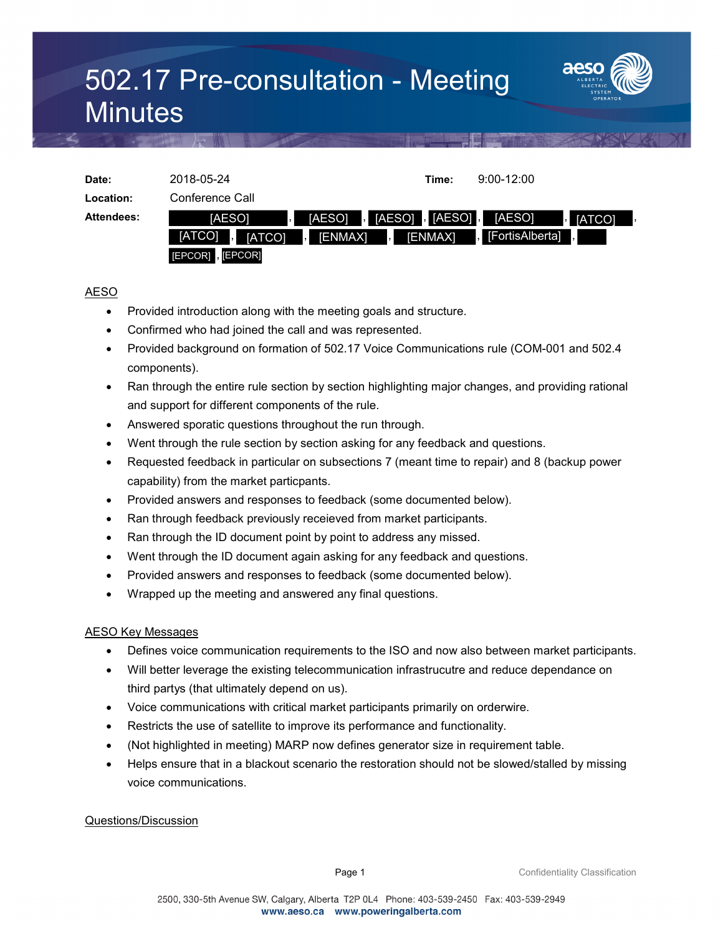## 502.17 Pre-consultation - Meeting **Minutes**



| Date:             | 2018-05-24                                          |                                                                 | Time:   | $9:00-12:00$              |  |
|-------------------|-----------------------------------------------------|-----------------------------------------------------------------|---------|---------------------------|--|
|                   |                                                     |                                                                 |         |                           |  |
| Location:         | Conference Call                                     |                                                                 |         |                           |  |
| <b>Attendees:</b> | <b>IAESOI</b><br>L.                                 | , $[AESO]$ , $[AESO]$ , $[$<br>[AESO]                           |         | [AESO]<br><b>I</b> [ATCO] |  |
|                   | [ATCO]<br>$\overline{\phantom{a}}$<br><b>IATCO1</b> | [ENMAX]<br>$\overline{\phantom{a}}$<br>$\overline{\phantom{a}}$ | [ENMAX] | FortisAlberta]            |  |
|                   | [EPCOR], [EPCOR]                                    |                                                                 |         |                           |  |

## AESO

- Provided introduction along with the meeting goals and structure.
- Confirmed who had joined the call and was represented.
- Provided background on formation of 502.17 Voice Communications rule (COM-001 and 502.4 components).
- Ran through the entire rule section by section highlighting major changes, and providing rational and support for different components of the rule.
- Answered sporatic questions throughout the run through.
- Went through the rule section by section asking for any feedback and questions.
- Requested feedback in particular on subsections 7 (meant time to repair) and 8 (backup power capability) from the market particpants.
- Provided answers and responses to feedback (some documented below).
- Ran through feedback previously receieved from market participants.
- Ran through the ID document point by point to address any missed.
- Went through the ID document again asking for any feedback and questions.
- Provided answers and responses to feedback (some documented below).
- Wrapped up the meeting and answered any final questions.

## AESO Key Messages

- Defines voice communication requirements to the ISO and now also between market participants.
- Will better leverage the existing telecommunication infrastrucutre and reduce dependance on third partys (that ultimately depend on us).
- Voice communications with critical market participants primarily on orderwire.
- Restricts the use of satellite to improve its performance and functionality.
- (Not highlighted in meeting) MARP now defines generator size in requirement table.
- Helps ensure that in a blackout scenario the restoration should not be slowed/stalled by missing voice communications.

Questions/Discussion